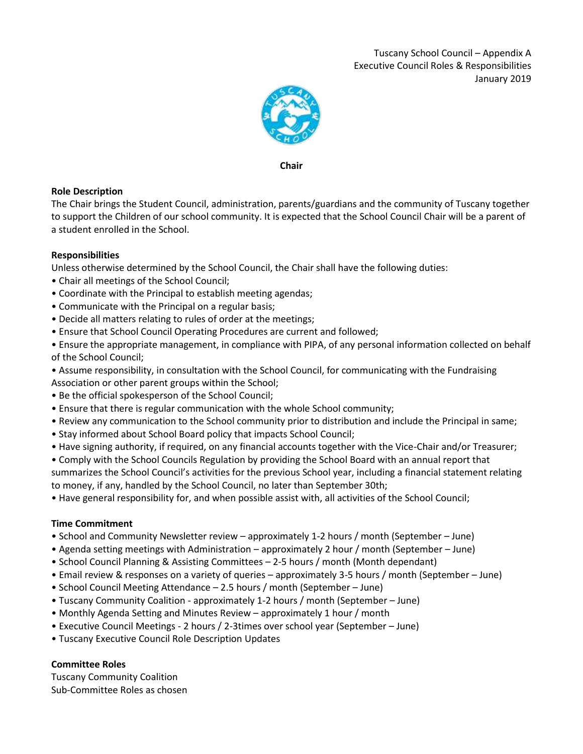

**Chair**

# **Role Description**

The Chair brings the Student Council, administration, parents/guardians and the community of Tuscany together to support the Children of our school community. It is expected that the School Council Chair will be a parent of a student enrolled in the School.

# **Responsibilities**

Unless otherwise determined by the School Council, the Chair shall have the following duties:

- Chair all meetings of the School Council;
- Coordinate with the Principal to establish meeting agendas;
- Communicate with the Principal on a regular basis;
- Decide all matters relating to rules of order at the meetings;
- Ensure that School Council Operating Procedures are current and followed;

• Ensure the appropriate management, in compliance with PIPA, of any personal information collected on behalf of the School Council;

• Assume responsibility, in consultation with the School Council, for communicating with the Fundraising Association or other parent groups within the School;

- Be the official spokesperson of the School Council;
- Ensure that there is regular communication with the whole School community;
- Review any communication to the School community prior to distribution and include the Principal in same;
- Stay informed about School Board policy that impacts School Council;
- Have signing authority, if required, on any financial accounts together with the Vice-Chair and/or Treasurer;

• Comply with the School Councils Regulation by providing the School Board with an annual report that

summarizes the School Council's activities for the previous School year, including a financial statement relating to money, if any, handled by the School Council, no later than September 30th;

• Have general responsibility for, and when possible assist with, all activities of the School Council;

### **Time Commitment**

- School and Community Newsletter review approximately 1-2 hours / month (September June)
- Agenda setting meetings with Administration approximately 2 hour / month (September June)
- School Council Planning & Assisting Committees 2-5 hours / month (Month dependant)
- Email review & responses on a variety of queries approximately 3-5 hours / month (September June)
- School Council Meeting Attendance 2.5 hours / month (September June)
- Tuscany Community Coalition approximately 1-2 hours / month (September June)
- Monthly Agenda Setting and Minutes Review approximately 1 hour / month
- Executive Council Meetings 2 hours / 2-3times over school year (September June)
- Tuscany Executive Council Role Description Updates

# **Committee Roles**

Tuscany Community Coalition Sub-Committee Roles as chosen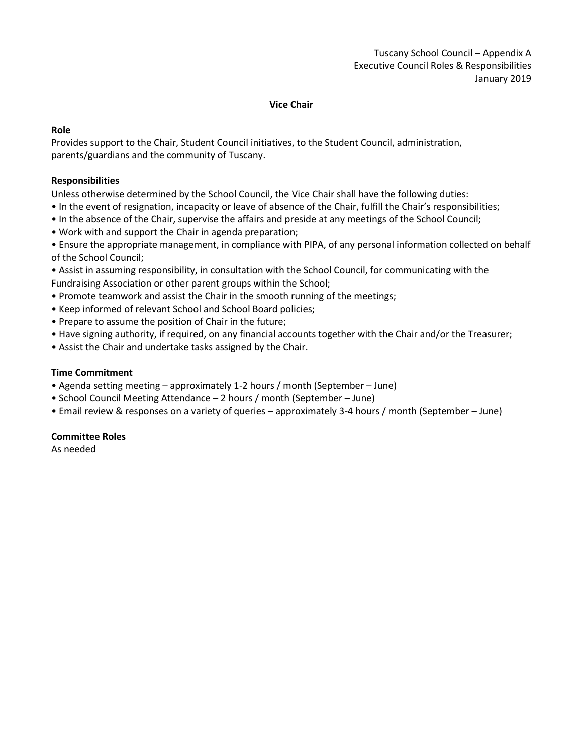#### **Vice Chair**

### **Role**

Provides support to the Chair, Student Council initiatives, to the Student Council, administration, parents/guardians and the community of Tuscany.

#### **Responsibilities**

Unless otherwise determined by the School Council, the Vice Chair shall have the following duties:

- In the event of resignation, incapacity or leave of absence of the Chair, fulfill the Chair's responsibilities;
- In the absence of the Chair, supervise the affairs and preside at any meetings of the School Council;
- Work with and support the Chair in agenda preparation;
- Ensure the appropriate management, in compliance with PIPA, of any personal information collected on behalf of the School Council;
- Assist in assuming responsibility, in consultation with the School Council, for communicating with the Fundraising Association or other parent groups within the School;
- Promote teamwork and assist the Chair in the smooth running of the meetings;
- Keep informed of relevant School and School Board policies;
- Prepare to assume the position of Chair in the future;
- Have signing authority, if required, on any financial accounts together with the Chair and/or the Treasurer;
- Assist the Chair and undertake tasks assigned by the Chair.

#### **Time Commitment**

- Agenda setting meeting approximately 1-2 hours / month (September June)
- School Council Meeting Attendance 2 hours / month (September June)
- Email review & responses on a variety of queries approximately 3-4 hours / month (September June)

#### **Committee Roles**

As needed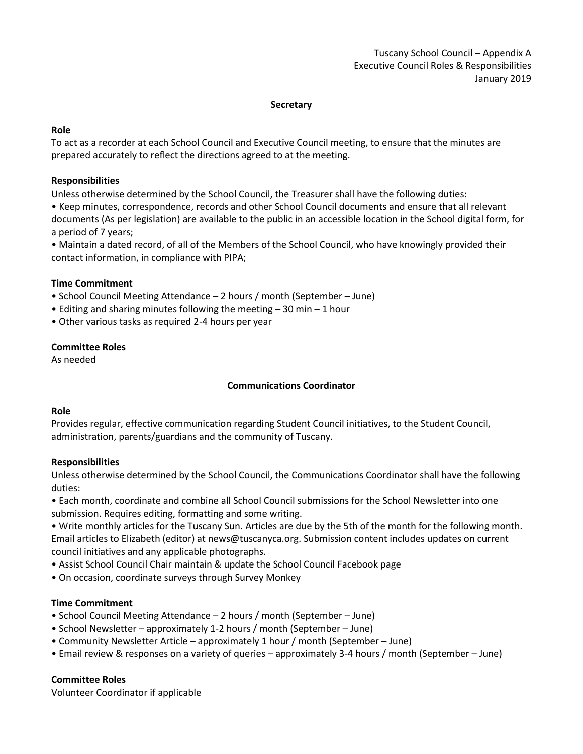### **Secretary**

### **Role**

To act as a recorder at each School Council and Executive Council meeting, to ensure that the minutes are prepared accurately to reflect the directions agreed to at the meeting.

### **Responsibilities**

Unless otherwise determined by the School Council, the Treasurer shall have the following duties:

• Keep minutes, correspondence, records and other School Council documents and ensure that all relevant documents (As per legislation) are available to the public in an accessible location in the School digital form, for a period of 7 years;

• Maintain a dated record, of all of the Members of the School Council, who have knowingly provided their contact information, in compliance with PIPA;

# **Time Commitment**

- School Council Meeting Attendance 2 hours / month (September June)
- Editing and sharing minutes following the meeting 30 min 1 hour
- Other various tasks as required 2-4 hours per year

# **Committee Roles**

As needed

# **Communications Coordinator**

### **Role**

Provides regular, effective communication regarding Student Council initiatives, to the Student Council, administration, parents/guardians and the community of Tuscany.

### **Responsibilities**

Unless otherwise determined by the School Council, the Communications Coordinator shall have the following duties:

• Each month, coordinate and combine all School Council submissions for the School Newsletter into one submission. Requires editing, formatting and some writing.

• Write monthly articles for the Tuscany Sun. Articles are due by the 5th of the month for the following month. Email articles to Elizabeth (editor) at news@tuscanyca.org. Submission content includes updates on current council initiatives and any applicable photographs.

- Assist School Council Chair maintain & update the School Council Facebook page
- On occasion, coordinate surveys through Survey Monkey

### **Time Commitment**

- School Council Meeting Attendance 2 hours / month (September June)
- School Newsletter approximately 1-2 hours / month (September June)
- Community Newsletter Article approximately 1 hour / month (September June)
- Email review & responses on a variety of queries approximately 3-4 hours / month (September June)

### **Committee Roles**

Volunteer Coordinator if applicable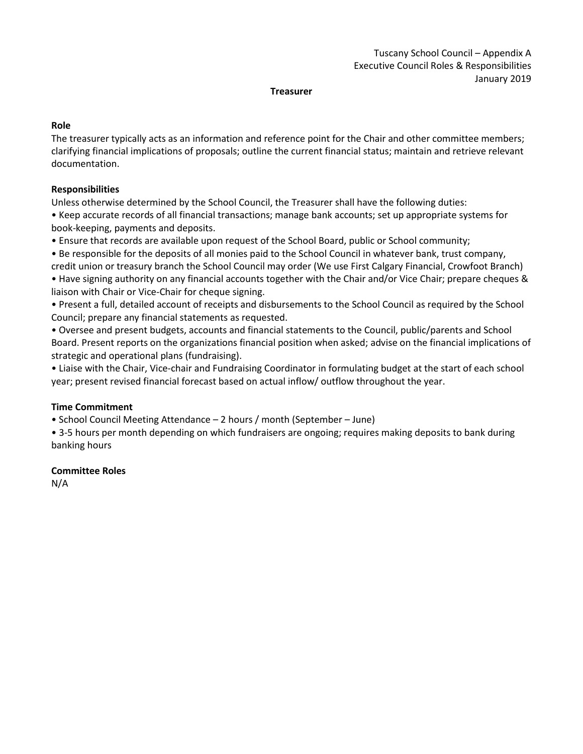#### **Treasurer**

### **Role**

The treasurer typically acts as an information and reference point for the Chair and other committee members; clarifying financial implications of proposals; outline the current financial status; maintain and retrieve relevant documentation.

# **Responsibilities**

Unless otherwise determined by the School Council, the Treasurer shall have the following duties:

• Keep accurate records of all financial transactions; manage bank accounts; set up appropriate systems for book-keeping, payments and deposits.

• Ensure that records are available upon request of the School Board, public or School community;

• Be responsible for the deposits of all monies paid to the School Council in whatever bank, trust company, credit union or treasury branch the School Council may order (We use First Calgary Financial, Crowfoot Branch)

• Have signing authority on any financial accounts together with the Chair and/or Vice Chair; prepare cheques & liaison with Chair or Vice-Chair for cheque signing.

• Present a full, detailed account of receipts and disbursements to the School Council as required by the School Council; prepare any financial statements as requested.

• Oversee and present budgets, accounts and financial statements to the Council, public/parents and School Board. Present reports on the organizations financial position when asked; advise on the financial implications of strategic and operational plans (fundraising).

• Liaise with the Chair, Vice-chair and Fundraising Coordinator in formulating budget at the start of each school year; present revised financial forecast based on actual inflow/ outflow throughout the year.

# **Time Commitment**

• School Council Meeting Attendance – 2 hours / month (September – June)

• 3-5 hours per month depending on which fundraisers are ongoing; requires making deposits to bank during banking hours

# **Committee Roles**

N/A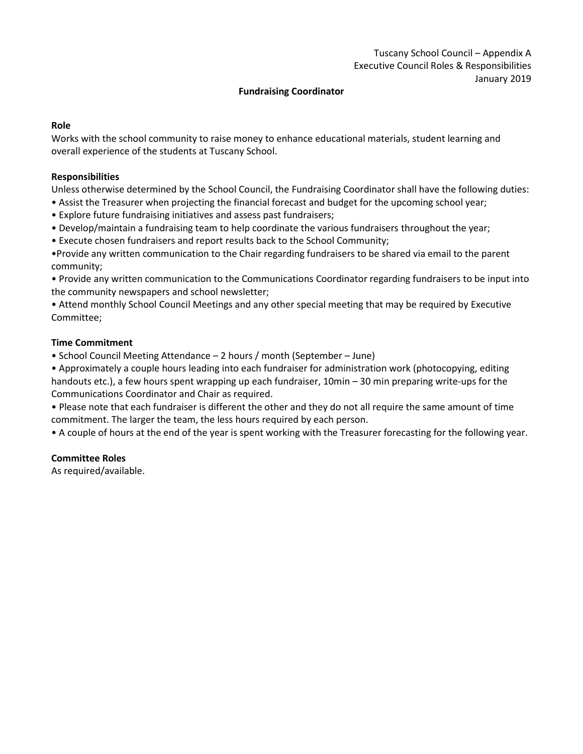### **Fundraising Coordinator**

### **Role**

Works with the school community to raise money to enhance educational materials, student learning and overall experience of the students at Tuscany School.

### **Responsibilities**

Unless otherwise determined by the School Council, the Fundraising Coordinator shall have the following duties:

- Assist the Treasurer when projecting the financial forecast and budget for the upcoming school year;
- Explore future fundraising initiatives and assess past fundraisers;
- Develop/maintain a fundraising team to help coordinate the various fundraisers throughout the year;
- Execute chosen fundraisers and report results back to the School Community;

•Provide any written communication to the Chair regarding fundraisers to be shared via email to the parent community;

- Provide any written communication to the Communications Coordinator regarding fundraisers to be input into the community newspapers and school newsletter;
- Attend monthly School Council Meetings and any other special meeting that may be required by Executive Committee;

# **Time Commitment**

• School Council Meeting Attendance – 2 hours / month (September – June)

• Approximately a couple hours leading into each fundraiser for administration work (photocopying, editing handouts etc.), a few hours spent wrapping up each fundraiser, 10min – 30 min preparing write-ups for the Communications Coordinator and Chair as required.

• Please note that each fundraiser is different the other and they do not all require the same amount of time commitment. The larger the team, the less hours required by each person.

• A couple of hours at the end of the year is spent working with the Treasurer forecasting for the following year.

### **Committee Roles**

As required/available.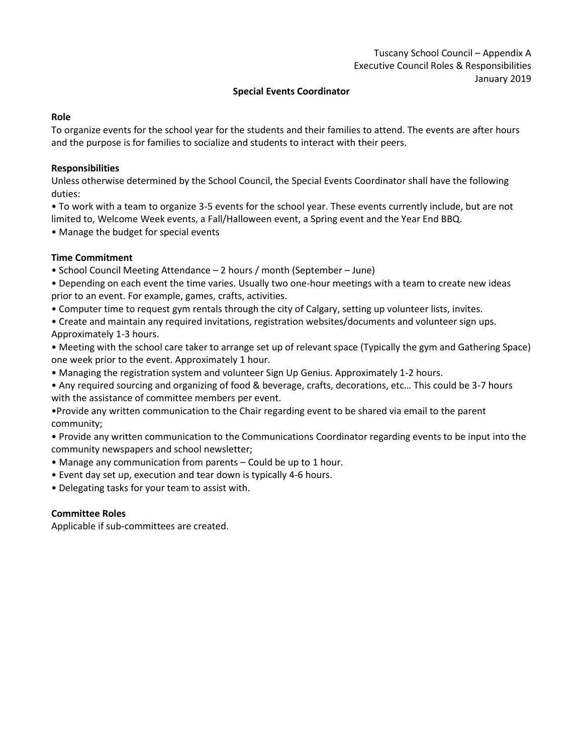### **Special Events Coordinator**

#### **Role**

To organize events for the school year for the students and their families to attend. The events are after hours and the purpose is for families to socialize and students to interact with their peers.

### **Responsibilities**

Unless otherwise determined by the School Council, the Special Events Coordinator shall have the following duties:

• To work with a team to organize 3-5 events for the school year. These events currently include, but are not limited to, Welcome Week events, a Fall/Halloween event, a Spring event and the Year End BBQ.

• Manage the budget for special events

# **Time Commitment**

- School Council Meeting Attendance 2 hours / month (September June)
- Depending on each event the time varies. Usually two one-hour meetings with a team to create new ideas prior to an event. For example, games, crafts, activities.
- Computer time to request gym rentals through the city of Calgary, setting up volunteer lists, invites.
- Create and maintain any required invitations, registration websites/documents and volunteer sign ups. Approximately 1-3 hours.
- Meeting with the school care taker to arrange set up of relevant space (Typically the gym and Gathering Space) one week prior to the event. Approximately 1 hour.
- Managing the registration system and volunteer Sign Up Genius. Approximately 1-2 hours.
- Any required sourcing and organizing of food & beverage, crafts, decorations, etc… This could be 3-7 hours with the assistance of committee members per event.
- •Provide any written communication to the Chair regarding event to be shared via email to the parent community;
- Provide any written communication to the Communications Coordinator regarding events to be input into the community newspapers and school newsletter;
- Manage any communication from parents Could be up to 1 hour.
- Event day set up, execution and tear down is typically 4-6 hours.
- Delegating tasks for your team to assist with.

# **Committee Roles**

Applicable if sub-committees are created.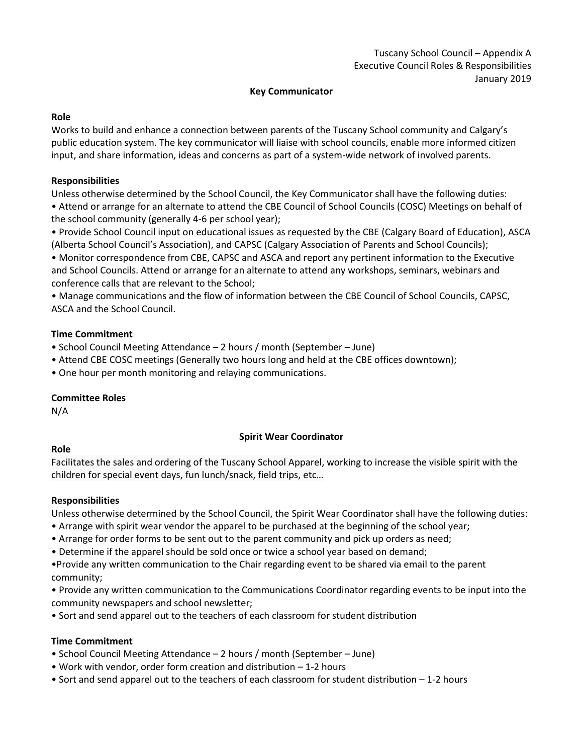# **Key Communicator**

### **Role**

Works to build and enhance a connection between parents of the Tuscany School community and Calgary's public education system. The key communicator will liaise with school councils, enable more informed citizen input, and share information, ideas and concerns as part of a system-wide network of involved parents.

# **Responsibilities**

Unless otherwise determined by the School Council, the Key Communicator shall have the following duties:

• Attend or arrange for an alternate to attend the CBE Council of School Councils (COSC) Meetings on behalf of the school community (generally 4-6 per school year);

• Provide School Council input on educational issues as requested by the CBE (Calgary Board of Education), ASCA (Alberta School Council's Association), and CAPSC (Calgary Association of Parents and School Councils);

• Monitor correspondence from CBE, CAPSC and ASCA and report any pertinent information to the Executive and School Councils. Attend or arrange for an alternate to attend any workshops, seminars, webinars and conference calls that are relevant to the School;

• Manage communications and the flow of information between the CBE Council of School Councils, CAPSC, ASCA and the School Council.

# **Time Commitment**

- School Council Meeting Attendance 2 hours / month (September June)
- Attend CBE COSC meetings (Generally two hours long and held at the CBE offices downtown);
- One hour per month monitoring and relaying communications.

# **Committee Roles**

N/A

# **Spirit Wear Coordinator**

### **Role**

Facilitates the sales and ordering of the Tuscany School Apparel, working to increase the visible spirit with the children for special event days, fun lunch/snack, field trips, etc…

# **Responsibilities**

Unless otherwise determined by the School Council, the Spirit Wear Coordinator shall have the following duties:

- Arrange with spirit wear vendor the apparel to be purchased at the beginning of the school year;
- Arrange for order forms to be sent out to the parent community and pick up orders as need;
- Determine if the apparel should be sold once or twice a school year based on demand;
- •Provide any written communication to the Chair regarding event to be shared via email to the parent community;
- Provide any written communication to the Communications Coordinator regarding events to be input into the community newspapers and school newsletter;
- Sort and send apparel out to the teachers of each classroom for student distribution

# **Time Commitment**

- School Council Meeting Attendance 2 hours / month (September June)
- Work with vendor, order form creation and distribution 1-2 hours
- Sort and send apparel out to the teachers of each classroom for student distribution 1-2 hours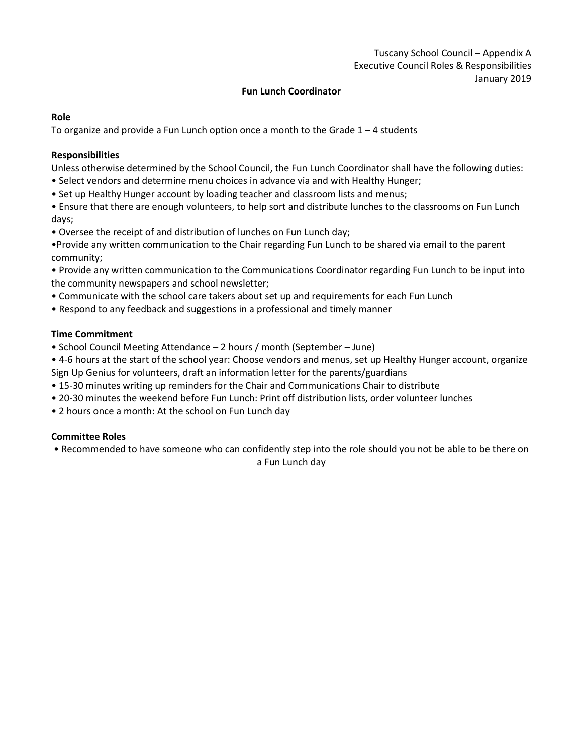# **Fun Lunch Coordinator**

#### **Role**

To organize and provide a Fun Lunch option once a month to the Grade 1 – 4 students

# **Responsibilities**

Unless otherwise determined by the School Council, the Fun Lunch Coordinator shall have the following duties:

- Select vendors and determine menu choices in advance via and with Healthy Hunger;
- Set up Healthy Hunger account by loading teacher and classroom lists and menus;
- Ensure that there are enough volunteers, to help sort and distribute lunches to the classrooms on Fun Lunch days;
- Oversee the receipt of and distribution of lunches on Fun Lunch day;
- •Provide any written communication to the Chair regarding Fun Lunch to be shared via email to the parent community;
- Provide any written communication to the Communications Coordinator regarding Fun Lunch to be input into the community newspapers and school newsletter;
- Communicate with the school care takers about set up and requirements for each Fun Lunch
- Respond to any feedback and suggestions in a professional and timely manner

### **Time Commitment**

- School Council Meeting Attendance 2 hours / month (September June)
- 4-6 hours at the start of the school year: Choose vendors and menus, set up Healthy Hunger account, organize Sign Up Genius for volunteers, draft an information letter for the parents/guardians
- 15-30 minutes writing up reminders for the Chair and Communications Chair to distribute
- 20-30 minutes the weekend before Fun Lunch: Print off distribution lists, order volunteer lunches
- 2 hours once a month: At the school on Fun Lunch day

### **Committee Roles**

• Recommended to have someone who can confidently step into the role should you not be able to be there on

a Fun Lunch day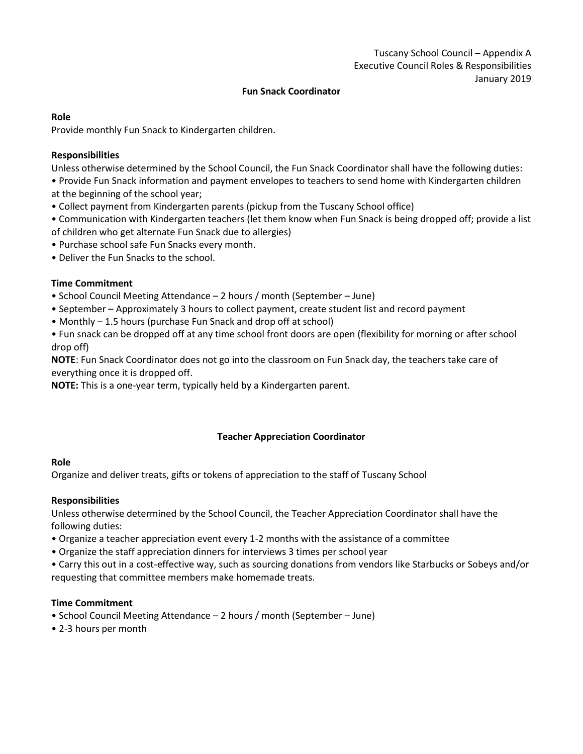### **Fun Snack Coordinator**

#### **Role**

Provide monthly Fun Snack to Kindergarten children.

### **Responsibilities**

Unless otherwise determined by the School Council, the Fun Snack Coordinator shall have the following duties:

• Provide Fun Snack information and payment envelopes to teachers to send home with Kindergarten children at the beginning of the school year;

- Collect payment from Kindergarten parents (pickup from the Tuscany School office)
- Communication with Kindergarten teachers (let them know when Fun Snack is being dropped off; provide a list of children who get alternate Fun Snack due to allergies)
- Purchase school safe Fun Snacks every month.
- Deliver the Fun Snacks to the school.

# **Time Commitment**

- School Council Meeting Attendance 2 hours / month (September June)
- September Approximately 3 hours to collect payment, create student list and record payment
- Monthly 1.5 hours (purchase Fun Snack and drop off at school)

• Fun snack can be dropped off at any time school front doors are open (flexibility for morning or after school drop off)

**NOTE**: Fun Snack Coordinator does not go into the classroom on Fun Snack day, the teachers take care of everything once it is dropped off.

**NOTE:** This is a one-year term, typically held by a Kindergarten parent.

### **Teacher Appreciation Coordinator**

### **Role**

Organize and deliver treats, gifts or tokens of appreciation to the staff of Tuscany School

### **Responsibilities**

Unless otherwise determined by the School Council, the Teacher Appreciation Coordinator shall have the following duties:

- Organize a teacher appreciation event every 1-2 months with the assistance of a committee
- Organize the staff appreciation dinners for interviews 3 times per school year

• Carry this out in a cost-effective way, such as sourcing donations from vendors like Starbucks or Sobeys and/or requesting that committee members make homemade treats.

### **Time Commitment**

- School Council Meeting Attendance 2 hours / month (September June)
- 2-3 hours per month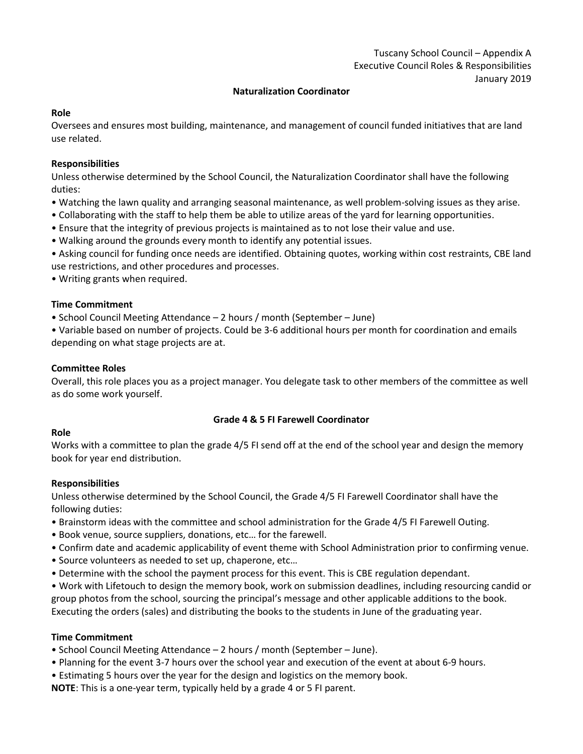# **Naturalization Coordinator**

### **Role**

Oversees and ensures most building, maintenance, and management of council funded initiatives that are land use related.

### **Responsibilities**

Unless otherwise determined by the School Council, the Naturalization Coordinator shall have the following duties:

- Watching the lawn quality and arranging seasonal maintenance, as well problem-solving issues as they arise.
- Collaborating with the staff to help them be able to utilize areas of the yard for learning opportunities.
- Ensure that the integrity of previous projects is maintained as to not lose their value and use.
- Walking around the grounds every month to identify any potential issues.

• Asking council for funding once needs are identified. Obtaining quotes, working within cost restraints, CBE land use restrictions, and other procedures and processes.

• Writing grants when required.

# **Time Commitment**

• School Council Meeting Attendance – 2 hours / month (September – June)

• Variable based on number of projects. Could be 3-6 additional hours per month for coordination and emails depending on what stage projects are at.

### **Committee Roles**

Overall, this role places you as a project manager. You delegate task to other members of the committee as well as do some work yourself.

### **Grade 4 & 5 FI Farewell Coordinator**

### **Role**

Works with a committee to plan the grade 4/5 FI send off at the end of the school year and design the memory book for year end distribution.

### **Responsibilities**

Unless otherwise determined by the School Council, the Grade 4/5 FI Farewell Coordinator shall have the following duties:

- Brainstorm ideas with the committee and school administration for the Grade 4/5 FI Farewell Outing.
- Book venue, source suppliers, donations, etc… for the farewell.
- Confirm date and academic applicability of event theme with School Administration prior to confirming venue.
- Source volunteers as needed to set up, chaperone, etc…
- Determine with the school the payment process for this event. This is CBE regulation dependant.

• Work with Lifetouch to design the memory book, work on submission deadlines, including resourcing candid or group photos from the school, sourcing the principal's message and other applicable additions to the book. Executing the orders (sales) and distributing the books to the students in June of the graduating year.

# **Time Commitment**

- School Council Meeting Attendance 2 hours / month (September June).
- Planning for the event 3-7 hours over the school year and execution of the event at about 6-9 hours.
- Estimating 5 hours over the year for the design and logistics on the memory book.

**NOTE**: This is a one-year term, typically held by a grade 4 or 5 FI parent.